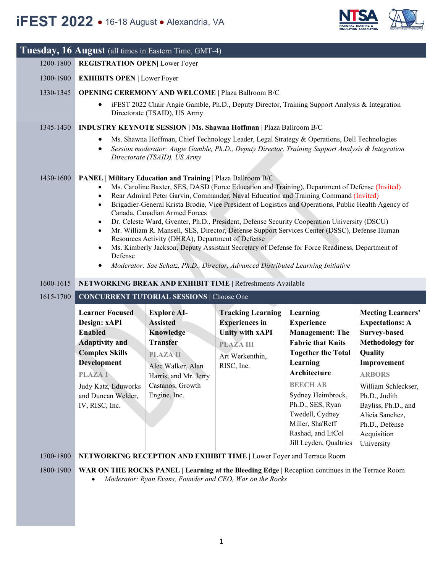

|           | Tuesday, 16 August (all times in Eastern Time, GMT-4)                                                                                                                                                     |                                                                                                                                                                            |                                                                                                                                                                                                                                                                                                                                                                                                                                                                                                                                                                                                                                                                                     |                                                                                                                                                                                                                                                                                                |                                                                                                                                                                                                                                                                                 |
|-----------|-----------------------------------------------------------------------------------------------------------------------------------------------------------------------------------------------------------|----------------------------------------------------------------------------------------------------------------------------------------------------------------------------|-------------------------------------------------------------------------------------------------------------------------------------------------------------------------------------------------------------------------------------------------------------------------------------------------------------------------------------------------------------------------------------------------------------------------------------------------------------------------------------------------------------------------------------------------------------------------------------------------------------------------------------------------------------------------------------|------------------------------------------------------------------------------------------------------------------------------------------------------------------------------------------------------------------------------------------------------------------------------------------------|---------------------------------------------------------------------------------------------------------------------------------------------------------------------------------------------------------------------------------------------------------------------------------|
| 1200-1800 | <b>REGISTRATION OPEN Lower Foyer</b>                                                                                                                                                                      |                                                                                                                                                                            |                                                                                                                                                                                                                                                                                                                                                                                                                                                                                                                                                                                                                                                                                     |                                                                                                                                                                                                                                                                                                |                                                                                                                                                                                                                                                                                 |
| 1300-1900 | <b>EXHIBITS OPEN   Lower Foyer</b>                                                                                                                                                                        |                                                                                                                                                                            |                                                                                                                                                                                                                                                                                                                                                                                                                                                                                                                                                                                                                                                                                     |                                                                                                                                                                                                                                                                                                |                                                                                                                                                                                                                                                                                 |
| 1330-1345 | <b>OPENING CEREMONY AND WELCOME   Plaza Ballroom B/C</b>                                                                                                                                                  |                                                                                                                                                                            |                                                                                                                                                                                                                                                                                                                                                                                                                                                                                                                                                                                                                                                                                     |                                                                                                                                                                                                                                                                                                |                                                                                                                                                                                                                                                                                 |
|           |                                                                                                                                                                                                           | Directorate (TSAID), US Army                                                                                                                                               | iFEST 2022 Chair Angie Gamble, Ph.D., Deputy Director, Training Support Analysis & Integration                                                                                                                                                                                                                                                                                                                                                                                                                                                                                                                                                                                      |                                                                                                                                                                                                                                                                                                |                                                                                                                                                                                                                                                                                 |
| 1345-1430 |                                                                                                                                                                                                           |                                                                                                                                                                            | INDUSTRY KEYNOTE SESSION   Ms. Shawna Hoffman   Plaza Ballroom B/C                                                                                                                                                                                                                                                                                                                                                                                                                                                                                                                                                                                                                  |                                                                                                                                                                                                                                                                                                |                                                                                                                                                                                                                                                                                 |
|           | $\bullet$<br>$\bullet$                                                                                                                                                                                    | Directorate (TSAID), US Army                                                                                                                                               | Ms. Shawna Hoffman, Chief Technology Leader, Legal Strategy & Operations, Dell Technologies<br>Session moderator: Angie Gamble, Ph.D., Deputy Director, Training Support Analysis & Integration                                                                                                                                                                                                                                                                                                                                                                                                                                                                                     |                                                                                                                                                                                                                                                                                                |                                                                                                                                                                                                                                                                                 |
| 1430-1600 | $\bullet$<br>$\bullet$<br>$\bullet$<br>$\bullet$<br>$\bullet$<br>$\bullet$<br>Defense<br>$\bullet$                                                                                                        | PANEL   Military Education and Training   Plaza Ballroom B/C<br>Canada, Canadian Armed Forces<br>Resources Activity (DHRA), Department of Defense                          | Ms. Caroline Baxter, SES, DASD (Force Education and Training), Department of Defense (Invited)<br>Rear Admiral Peter Garvin, Commander, Naval Education and Training Command (Invited)<br>Brigadier-General Krista Brodie, Vice President of Logistics and Operations, Public Health Agency of<br>Dr. Celeste Ward, Gventer, Ph.D., President, Defense Security Cooperation University (DSCU)<br>Mr. William R. Mansell, SES, Director, Defense Support Services Center (DSSC), Defense Human<br>Ms. Kimberly Jackson, Deputy Assistant Secretary of Defense for Force Readiness, Department of<br>Moderator: Sae Schatz, Ph.D., Director, Advanced Distributed Learning Initiative |                                                                                                                                                                                                                                                                                                |                                                                                                                                                                                                                                                                                 |
| 1600-1615 |                                                                                                                                                                                                           |                                                                                                                                                                            | NETWORKING BREAK AND EXHIBIT TIME   Refreshments Available                                                                                                                                                                                                                                                                                                                                                                                                                                                                                                                                                                                                                          |                                                                                                                                                                                                                                                                                                |                                                                                                                                                                                                                                                                                 |
| 1615-1700 |                                                                                                                                                                                                           | <b>CONCURRENT TUTORIAL SESSIONS   Choose One</b>                                                                                                                           |                                                                                                                                                                                                                                                                                                                                                                                                                                                                                                                                                                                                                                                                                     |                                                                                                                                                                                                                                                                                                |                                                                                                                                                                                                                                                                                 |
|           | <b>Learner Focused</b><br>Design: xAPI<br><b>Enabled</b><br><b>Adaptivity and</b><br><b>Complex Skills</b><br>Development<br><b>PLAZAI</b><br>Judy Katz, Eduworks<br>and Duncan Welder,<br>IV, RISC, Inc. | <b>Explore AI-</b><br><b>Assisted</b><br>Knowledge<br><b>Transfer</b><br><b>PLAZA II</b><br>Alec Walker, Alan<br>Harris, and Mr. Jerry<br>Castanos, Growth<br>Engine, Inc. | <b>Tracking Learning</b><br><b>Experiences</b> in<br><b>Unity with xAPI</b><br><b>PLAZA III</b><br>Art Werkenthin,<br>RISC, Inc.                                                                                                                                                                                                                                                                                                                                                                                                                                                                                                                                                    | Learning<br><b>Experience</b><br><b>Management: The</b><br><b>Fabric that Knits</b><br><b>Together the Total</b><br>Learning<br>Architecture<br><b>BEECH AB</b><br>Sydney Heimbrock,<br>Ph.D., SES, Ryan<br>Twedell, Cydney<br>Miller, Sha'Reff<br>Rashad, and LtCol<br>Jill Leyden, Qualtrics | <b>Meeting Learners'</b><br><b>Expectations: A</b><br><b>Survey-based</b><br><b>Methodology for</b><br>Quality<br>Improvement<br><b>ARBORS</b><br>William Schleckser,<br>Ph.D., Judith<br>Bayliss, Ph.D., and<br>Alicia Sanchez,<br>Ph.D., Defense<br>Acquisition<br>University |
| 1700-1800 |                                                                                                                                                                                                           |                                                                                                                                                                            | NETWORKING RECEPTION AND EXHIBIT TIME   Lower Foyer and Terrace Room                                                                                                                                                                                                                                                                                                                                                                                                                                                                                                                                                                                                                |                                                                                                                                                                                                                                                                                                |                                                                                                                                                                                                                                                                                 |
| 1800-1900 | WAR ON THE ROCKS PANEL   Learning at the Bleeding Edge   Reception continues in the Terrace Room                                                                                                          |                                                                                                                                                                            |                                                                                                                                                                                                                                                                                                                                                                                                                                                                                                                                                                                                                                                                                     |                                                                                                                                                                                                                                                                                                |                                                                                                                                                                                                                                                                                 |

• *Moderator: Ryan Evans, Founder and CEO, War on the Rocks*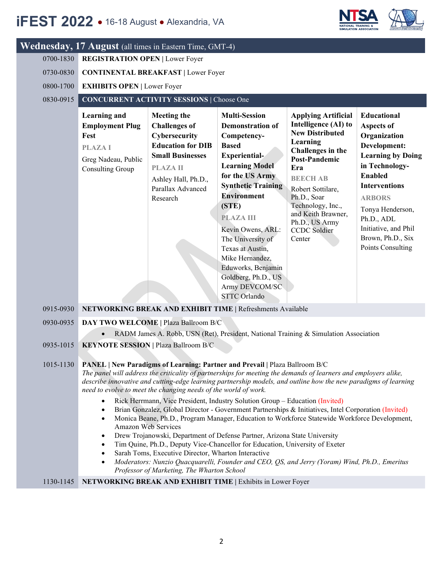## **iFES**

 $\mathbf{W}$ edn

|                                                  |                                                                                                            | $ST$ 2022 $\bullet$ 16-18 August $\bullet$ Alexandria, VA                                                                                                                                     |                                                                                                                                                                                                                                                                                                                                                                                                                                                                                                                                                                                                            |                                                                                                                                                                                                                                                                                                   | <b>MULATION ASSOCIATION</b>                                                                                                                                                                                                                                                          |
|--------------------------------------------------|------------------------------------------------------------------------------------------------------------|-----------------------------------------------------------------------------------------------------------------------------------------------------------------------------------------------|------------------------------------------------------------------------------------------------------------------------------------------------------------------------------------------------------------------------------------------------------------------------------------------------------------------------------------------------------------------------------------------------------------------------------------------------------------------------------------------------------------------------------------------------------------------------------------------------------------|---------------------------------------------------------------------------------------------------------------------------------------------------------------------------------------------------------------------------------------------------------------------------------------------------|--------------------------------------------------------------------------------------------------------------------------------------------------------------------------------------------------------------------------------------------------------------------------------------|
| 0700-1830<br>0730-0830<br>0800-1700<br>0830-0915 | <b>REGISTRATION OPEN   Lower Foyer</b><br><b>EXHIBITS OPEN   Lower Foyer</b>                               | nesday, 17 August (all times in Eastern Time, GMT-4)<br><b>CONTINENTAL BREAKFAST   Lower Foyer</b><br><b>CONCURRENT ACTIVITY SESSIONS   Choose One</b>                                        |                                                                                                                                                                                                                                                                                                                                                                                                                                                                                                                                                                                                            |                                                                                                                                                                                                                                                                                                   |                                                                                                                                                                                                                                                                                      |
|                                                  | Learning and<br><b>Employment Plug</b><br>Fest<br><b>PLAZAI</b><br>Greg Nadeau, Public<br>Consulting Group | <b>Meeting the</b><br><b>Challenges of</b><br>Cybersecurity<br><b>Education for DIB</b><br><b>Small Businesses</b><br><b>PLAZA II</b><br>Ashley Hall, Ph.D.,<br>Parallax Advanced<br>Research | <b>Multi-Session</b><br><b>Demonstration of</b><br>Competency-<br><b>Based</b><br><b>Experiential-</b><br><b>Learning Model</b><br>for the US Army<br><b>Synthetic Training</b><br><b>Environment</b><br>(STE)<br><b>PLAZA III</b><br>Kevin Owens, ARL:<br>The University of<br>Texas at Austin,<br>Mike Hernandez,<br>Eduworks, Benjamin<br>Goldberg, Ph.D., US<br>Army DEVCOM/SC<br><b>STTC</b> Orlando                                                                                                                                                                                                  | <b>Applying Artificial</b><br>Intelligence (AI) to<br><b>New Distributed</b><br>Learning<br>Challenges in the<br><b>Post-Pandemic</b><br>Era<br><b>BEECH AB</b><br>Robert Sottilare,<br>Ph.D., Soar<br>Technology, Inc.,<br>and Keith Brawner,<br>Ph.D., US Army<br><b>CCDC</b> Soldier<br>Center | <b>Educational</b><br><b>Aspects of</b><br>Organization<br>Development:<br><b>Learning by Doing</b><br>in Technology-<br><b>Enabled</b><br><b>Interventions</b><br><b>ARBORS</b><br>Tonya Henderson,<br>Ph.D., ADL<br>Initiative, and Phil<br>Brown, Ph.D., Six<br>Points Consulting |
| 0915-0930                                        |                                                                                                            |                                                                                                                                                                                               | NETWORKING BREAK AND EXHIBIT TIME   Refreshments Available                                                                                                                                                                                                                                                                                                                                                                                                                                                                                                                                                 |                                                                                                                                                                                                                                                                                                   |                                                                                                                                                                                                                                                                                      |
| 0930-0935<br>0935-1015                           |                                                                                                            | DAY TWO WELCOME   Plaza Ballroom B/C<br><b>KEYNOTE SESSION   Plaza Ballroom B/C</b>                                                                                                           | RADM James A. Robb, USN (Ret), President, National Training & Simulation Association                                                                                                                                                                                                                                                                                                                                                                                                                                                                                                                       |                                                                                                                                                                                                                                                                                                   |                                                                                                                                                                                                                                                                                      |
| 1015-1130                                        | $\bullet$<br>$\bullet$                                                                                     | need to evolve to meet the changing needs of the world of work.<br>Amazon Web Services                                                                                                        | PANEL   New Paradigms of Learning: Partner and Prevail   Plaza Ballroom B/C<br>The panel will address the criticality of partnerships for meeting the demands of learners and employers alike,<br>describe innovative and cutting-edge learning partnership models, and outline how the new paradigms of learning<br>Rick Herrmann, Vice President, Industry Solution Group - Education (Invited)<br>Brian Gonzalez, Global Director - Government Partnerships & Initiatives, Intel Corporation (Invited)<br>Monica Beane, Ph.D., Program Manager, Education to Workforce Statewide Workforce Development, |                                                                                                                                                                                                                                                                                                   |                                                                                                                                                                                                                                                                                      |

**NITCA** 

- Drew Trojanowski, Department of Defense Partner, Arizona State University
- Tim Quine, Ph.D., Deputy Vice-Chancellor for Education, University of Exeter
- Sarah Toms, Executive Director, Wharton Interactive
- *Moderators: Nunzio Quacquarelli, Founder and CEO, QS, and Jerry (Yoram) Wind, Ph.D., Emeritus Professor of Marketing, The Wharton School*

### 1130-1145 **NETWORKING BREAK AND EXHIBIT TIME |** Exhibits in Lower Foyer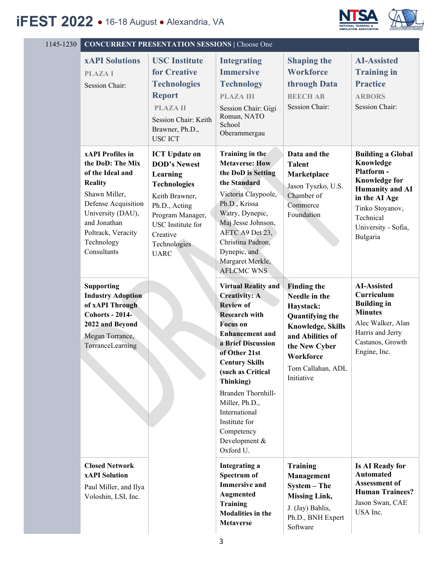

| 1145-1230 | <b>CONCURRENT PRESENTATION SESSIONS   Choose One</b>                                                                                                                                                              |                                                                                                                                                                                                              |                                                                                                                                                                                                                                                                                                                                                                     |                                                                                                                                                                                                    |                                                                                                                                                                                           |  |  |
|-----------|-------------------------------------------------------------------------------------------------------------------------------------------------------------------------------------------------------------------|--------------------------------------------------------------------------------------------------------------------------------------------------------------------------------------------------------------|---------------------------------------------------------------------------------------------------------------------------------------------------------------------------------------------------------------------------------------------------------------------------------------------------------------------------------------------------------------------|----------------------------------------------------------------------------------------------------------------------------------------------------------------------------------------------------|-------------------------------------------------------------------------------------------------------------------------------------------------------------------------------------------|--|--|
|           | <b>xAPI Solutions</b><br><b>PLAZAI</b><br>Session Chair:                                                                                                                                                          | <b>USC</b> Institute<br>for Creative<br><b>Technologies</b><br><b>Report</b><br><b>PLAZAII</b><br>Session Chair: Keith<br>Brawner, Ph.D.,<br><b>USC ICT</b>                                                  | <b>Integrating</b><br><b>Immersive</b><br><b>Technology</b><br><b>PLAZA III</b><br>Session Chair: Gigi<br>Roman, NATO<br>School<br>Oberammergau                                                                                                                                                                                                                     | <b>Shaping the</b><br><b>Workforce</b><br>through Data<br><b>BEECHAB</b><br>Session Chair:                                                                                                         | <b>AI-Assisted</b><br><b>Training in</b><br><b>Practice</b><br><b>ARBORS</b><br>Session Chair:                                                                                            |  |  |
|           | <b>xAPI</b> Profiles in<br>the DoD: The Mix<br>of the Ideal and<br><b>Reality</b><br>Shawn Miller,<br>Defense Acquisition<br>University (DAU),<br>and Jonathan<br>Poltrack, Veracity<br>Technology<br>Consultants | <b>ICT</b> Update on<br><b>DOD's Newest</b><br>Learning<br><b>Technologies</b><br>Keith Brawner,<br>Ph.D., Acting<br>Program Manager,<br><b>USC</b> Institute for<br>Creative<br>Technologies<br><b>UARC</b> | Training in the<br><b>Metaverse: How</b><br>the DoD is Setting<br>the Standard<br>Victoria Claypoole,<br>Ph.D., Krissa<br>Watry, Dynepic,<br>Maj Jesse Johnson,<br>AETC A9 Det 23.<br>Christina Padron,<br>Dynepic, and<br>Margaret Merkle,<br><b>AFLCMC WNS</b>                                                                                                    | Data and the<br><b>Talent</b><br>Marketplace<br>Jason Tyszko, U.S.<br>Chamber of<br>Commerce<br>Foundation                                                                                         | <b>Building a Global</b><br>Knowledge<br>Platform -<br><b>Knowledge for</b><br><b>Humanity and AI</b><br>in the AI Age<br>Tinko Stoyanov,<br>Technical<br>University - Sofia,<br>Bulgaria |  |  |
|           | <b>Supporting</b><br><b>Industry Adoption</b><br>of xAPI Through<br><b>Cohorts - 2014-</b><br>2022 and Beyond<br>Megan Torrance,<br>TorranceLearning                                                              |                                                                                                                                                                                                              | <b>Virtual Reality and</b><br><b>Creativity: A</b><br><b>Review of</b><br><b>Research with</b><br><b>Focus</b> on<br><b>Enhancement</b> and<br>a Brief Discussion<br>of Other 21st<br><b>Century Skills</b><br>(such as Critical<br>Thinking)<br>Branden Thornhill-<br>Miller, Ph.D.,<br>International<br>Institute for<br>Competency<br>Development &<br>Oxford U. | <b>Finding the</b><br>Needle in the<br>Haystack:<br><b>Quantifying the</b><br><b>Knowledge, Skills</b><br>and Abilities of<br>the New Cyber<br><b>Workforce</b><br>Tom Callahan, ADL<br>Initiative | <b>AI-Assisted</b><br>Curriculum<br><b>Building in</b><br><b>Minutes</b><br>Alec Walker, Alan<br>Harris and Jerry<br>Castanos, Growth<br>Engine, Inc.                                     |  |  |
|           | <b>Closed Network</b><br><b>xAPI</b> Solution<br>Paul Miller, and Ilya<br>Voloshin, LSI, Inc.                                                                                                                     |                                                                                                                                                                                                              | <b>Integrating a</b><br>Spectrum of<br><b>Immersive and</b><br>Augmented<br>Training<br><b>Modalities in the</b><br><b>Metaverse</b>                                                                                                                                                                                                                                | <b>Training</b><br>Management<br>System - The<br><b>Missing Link,</b><br>J. (Jay) Bahlis,<br>Ph.D., BNH Expert<br>Software                                                                         | <b>Is AI Ready for</b><br><b>Automated</b><br>Assessment of<br><b>Human Trainees?</b><br>Jason Swan, CAE<br>USA Inc.                                                                      |  |  |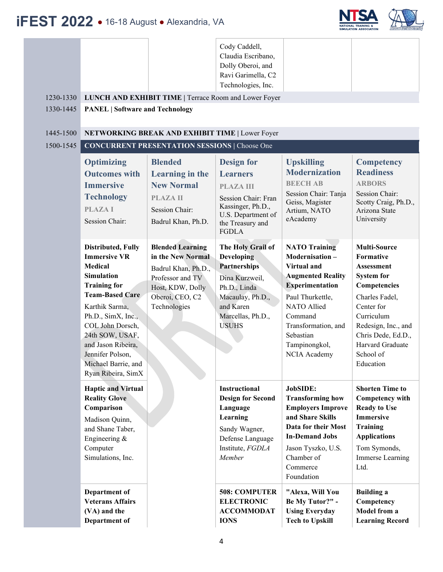

| 1230-1330<br>1330-1445<br>1445-1500 | <b>PANEL   Software and Technology</b>                                                                                                                                                                                                                                                                         | LUNCH AND EXHIBIT TIME   Terrace Room and Lower Foyer<br>NETWORKING BREAK AND EXHIBIT TIME   Lower Foyer                                       | Cody Caddell,<br>Claudia Escribano,<br>Dolly Oberoi, and<br>Ravi Garimella, C2<br>Technologies, Inc.                                                           |                                                                                                                                                                                                                                       |                                                                                                                                                                                                                                     |  |  |  |
|-------------------------------------|----------------------------------------------------------------------------------------------------------------------------------------------------------------------------------------------------------------------------------------------------------------------------------------------------------------|------------------------------------------------------------------------------------------------------------------------------------------------|----------------------------------------------------------------------------------------------------------------------------------------------------------------|---------------------------------------------------------------------------------------------------------------------------------------------------------------------------------------------------------------------------------------|-------------------------------------------------------------------------------------------------------------------------------------------------------------------------------------------------------------------------------------|--|--|--|
| 1500-1545                           | <b>CONCURRENT PRESENTATION SESSIONS   Choose One</b>                                                                                                                                                                                                                                                           |                                                                                                                                                |                                                                                                                                                                |                                                                                                                                                                                                                                       |                                                                                                                                                                                                                                     |  |  |  |
|                                     | <b>Optimizing</b><br><b>Outcomes with</b><br><b>Immersive</b><br><b>Technology</b><br><b>PLAZAI</b><br>Session Chair:                                                                                                                                                                                          | <b>Blended</b><br>Learning in the<br><b>New Normal</b><br><b>PLAZA II</b><br>Session Chair:<br>Badrul Khan, Ph.D.                              | <b>Design for</b><br><b>Learners</b><br><b>PLAZA III</b><br>Session Chair: Fran<br>Kassinger, Ph.D.,<br>U.S. Department of<br>the Treasury and<br><b>FGDLA</b> | <b>Upskilling</b><br><b>Modernization</b><br><b>BEECH AB</b><br>Session Chair: Tanja<br>Geiss, Magister<br>Artium, NATO<br>eAcademy                                                                                                   | <b>Competency</b><br><b>Readiness</b><br><b>ARBORS</b><br>Session Chair:<br>Scotty Craig, Ph.D.,<br>Arizona State<br>University                                                                                                     |  |  |  |
|                                     | <b>Distributed, Fully</b><br><b>Immersive VR</b><br><b>Medical</b><br><b>Simulation</b><br><b>Training for</b><br><b>Team-Based Care</b><br>Karthik Sarma,<br>Ph.D., SimX, Inc.,<br>COL John Dorsch,<br>24th SOW, USAF,<br>and Jason Ribeira,<br>Jennifer Polson,<br>Michael Barrie, and<br>Ryan Ribeira, SimX | <b>Blended Learning</b><br>in the New Normal<br>Badrul Khan, Ph.D.,<br>Professor and TV<br>Host, KDW, Dolly<br>Oberoi, CEO, C2<br>Technologies | The Holy Grail of<br>Developing<br><b>Partnerships</b><br>Dina Kurzweil,<br>Ph.D., Linda<br>Macaulay, Ph.D.,<br>and Karen<br>Marcellas, Ph.D.,<br><b>USUHS</b> | <b>NATO Training</b><br>Modernisation-<br>Virtual and<br><b>Augmented Reality</b><br><b>Experimentation</b><br>Paul Thurkettle,<br><b>NATO</b> Allied<br>Command<br>Transformation, and<br>Sebastian<br>Tampinongkol,<br>NCIA Academy | <b>Multi-Source</b><br>Formative<br><b>Assessment</b><br><b>System for</b><br>Competencies<br>Charles Fadel,<br>Center for<br>Curriculum<br>Redesign, Inc., and<br>Chris Dede, Ed.D.,<br>Harvard Graduate<br>School of<br>Education |  |  |  |
|                                     | <b>Haptic and Virtual</b><br><b>Reality Glove</b><br>Comparison<br>Madison Quinn,<br>and Shane Taber,<br>Engineering &<br>Computer<br>Simulations, Inc.                                                                                                                                                        |                                                                                                                                                | Instructional<br><b>Design for Second</b><br>Language<br>Learning<br>Sandy Wagner,<br>Defense Language<br>Institute, FGDLA<br>Member                           | JobSIDE:<br><b>Transforming how</b><br><b>Employers Improve</b><br>and Share Skills<br>Data for their Most<br><b>In-Demand Jobs</b><br>Jason Tyszko, U.S.<br>Chamber of<br>Commerce<br>Foundation                                     | <b>Shorten Time to</b><br>Competency with<br><b>Ready to Use</b><br><b>Immersive</b><br>Training<br><b>Applications</b><br>Tom Symonds,<br>Immerse Learning<br>Ltd.                                                                 |  |  |  |
|                                     | Department of<br><b>Veterans Affairs</b><br>(VA) and the<br>Department of                                                                                                                                                                                                                                      |                                                                                                                                                | <b>508: COMPUTER</b><br><b>ELECTRONIC</b><br><b>ACCOMMODAT</b><br><b>IONS</b>                                                                                  | "Alexa, Will You<br>Be My Tutor?" -<br><b>Using Everyday</b><br><b>Tech to Upskill</b>                                                                                                                                                | <b>Building a</b><br>Competency<br>Model from a<br><b>Learning Record</b>                                                                                                                                                           |  |  |  |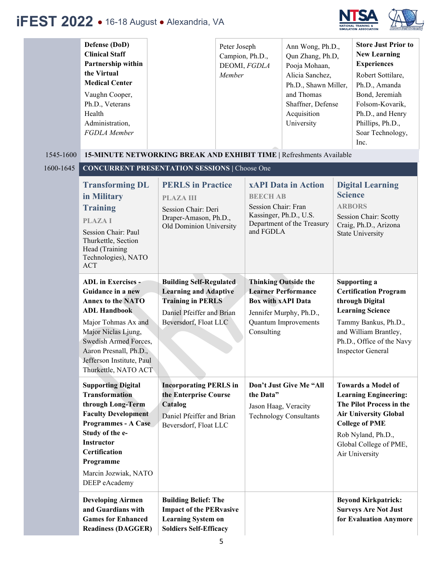

|           | Defense (DoD)<br><b>Clinical Staff</b><br>Partnership within<br>the Virtual<br><b>Medical Center</b>                                                                                                                                                    |                                                                                                                                                  | Peter Joseph<br>Campion, Ph.D.,<br>DEOMI, FGDLA<br>Member |                                                                               | Ann Wong, Ph.D.,<br>Qun Zhang, Ph.D,<br>Pooja Mohaan,<br>Alicia Sanchez,<br>Ph.D., Shawn Miller, |                                 | <b>Store Just Prior to</b><br><b>New Learning</b><br><b>Experiences</b><br>Robert Sottilare,<br>Ph.D., Amanda                                                                                                    |
|-----------|---------------------------------------------------------------------------------------------------------------------------------------------------------------------------------------------------------------------------------------------------------|--------------------------------------------------------------------------------------------------------------------------------------------------|-----------------------------------------------------------|-------------------------------------------------------------------------------|--------------------------------------------------------------------------------------------------|---------------------------------|------------------------------------------------------------------------------------------------------------------------------------------------------------------------------------------------------------------|
|           | Vaughn Cooper,<br>Ph.D., Veterans<br>Health<br>Administration,<br>FGDLA Member                                                                                                                                                                          |                                                                                                                                                  |                                                           |                                                                               | and Thomas<br>Shaffner, Defense<br>Acquisition<br>University                                     |                                 | Bond, Jeremiah<br>Folsom-Kovarik,<br>Ph.D., and Henry<br>Phillips, Ph.D.,<br>Soar Technology,<br>Inc.                                                                                                            |
| 1545-1600 | 15-MINUTE NETWORKING BREAK AND EXHIBIT TIME   Refreshments Available                                                                                                                                                                                    |                                                                                                                                                  |                                                           |                                                                               |                                                                                                  |                                 |                                                                                                                                                                                                                  |
| 1600-1645 | <b>CONCURRENT PRESENTATION SESSIONS   Choose One</b>                                                                                                                                                                                                    |                                                                                                                                                  |                                                           |                                                                               |                                                                                                  |                                 |                                                                                                                                                                                                                  |
|           | <b>Transforming DL</b><br>in Military<br><b>Training</b><br><b>PLAZAI</b><br>Session Chair: Paul<br>Thurkettle, Section<br>Head (Training<br>Technologies), NATO<br><b>ACT</b>                                                                          | <b>PERLS</b> in Practice<br><b>PLAZA III</b><br>Session Chair: Deri<br>Draper-Amason, Ph.D.,<br>Old Dominion University                          |                                                           | <b>BEECH AB</b><br>Session Chair: Fran<br>Kassinger, Ph.D., U.S.<br>and FGDLA | <b>xAPI Data in Action</b><br>Department of the Treasury                                         | <b>Science</b><br><b>ARBORS</b> | <b>Digital Learning</b><br><b>Session Chair: Scotty</b><br>Craig, Ph.D., Arizona<br><b>State University</b>                                                                                                      |
|           | <b>ADL</b> in Exercises -<br>Guidance in a new<br><b>Annex to the NATO</b><br><b>ADL Handbook</b><br>Major Tohmas Ax and<br>Major Niclas Ljung,<br>Swedish Armed Forces,<br>Aaron Presnall, Ph.D.,<br>Jefferson Institute, Paul<br>Thurkettle, NATO ACT | <b>Building Self-Regulated</b><br><b>Learning and Adaptive</b><br><b>Training in PERLS</b><br>Daniel Pfeiffer and Brian<br>Beversdorf, Float LLC |                                                           | <b>Thinking Outside the</b><br><b>Box with xAPI Data</b><br>Consulting        | <b>Learner Performance</b><br>Jennifer Murphy, Ph.D.,<br><b>Quantum Improvements</b>             |                                 | Supporting a<br><b>Certification Program</b><br>through Digital<br><b>Learning Science</b><br>Tammy Bankus, Ph.D.,<br>and William Brantley,<br>Ph.D., Office of the Navy<br><b>Inspector General</b>             |
|           | <b>Supporting Digital</b><br><b>Transformation</b><br>through Long-Term<br><b>Faculty Development</b><br><b>Programmes - A Case</b><br>Study of the e-<br><b>Instructor</b><br>Certification<br>Programme<br>Marcin Jozwiak, NATO<br>DEEP eAcademy      | <b>Incorporating PERLS in</b><br>the Enterprise Course<br>Catalog<br>Daniel Pfeiffer and Brian<br>Beversdorf, Float LLC                          |                                                           | the Data"<br>Jason Haag, Veracity                                             | Don't Just Give Me "All<br><b>Technology Consultants</b>                                         |                                 | <b>Towards a Model of</b><br><b>Learning Engineering:</b><br>The Pilot Process in the<br><b>Air University Global</b><br><b>College of PME</b><br>Rob Nyland, Ph.D.,<br>Global College of PME,<br>Air University |
|           | <b>Developing Airmen</b><br>and Guardians with<br><b>Games for Enhanced</b><br><b>Readiness (DAGGER)</b>                                                                                                                                                | <b>Building Belief: The</b><br><b>Impact of the PERvasive</b><br><b>Learning System on</b><br><b>Soldiers Self-Efficacy</b>                      |                                                           |                                                                               |                                                                                                  |                                 | <b>Beyond Kirkpatrick:</b><br><b>Surveys Are Not Just</b><br>for Evaluation Anymore                                                                                                                              |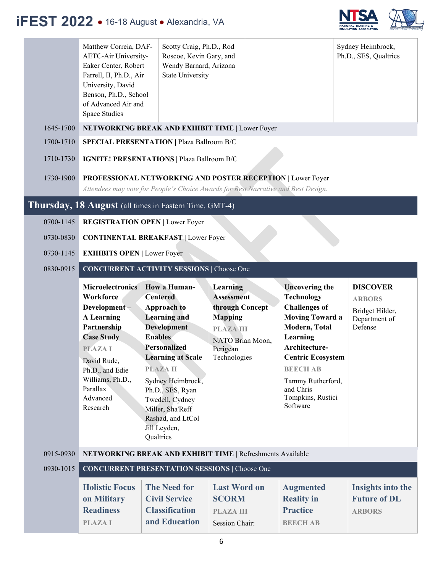

|           | Matthew Correia, DAF-<br>AETC-Air University-<br>Eaker Center, Robert<br>Farrell, II, Ph.D., Air<br>University, David<br>Benson, Ph.D., School<br>of Advanced Air and<br>Space Studies | Scotty Craig, Ph.D., Rod<br>Roscoe, Kevin Gary, and<br>Wendy Barnard, Arizona<br><b>State University</b>                                                                                             |                                                                                                            |                                                                                                                                            | Sydney Heimbrock,<br>Ph.D., SES, Qualtrics                                      |  |
|-----------|----------------------------------------------------------------------------------------------------------------------------------------------------------------------------------------|------------------------------------------------------------------------------------------------------------------------------------------------------------------------------------------------------|------------------------------------------------------------------------------------------------------------|--------------------------------------------------------------------------------------------------------------------------------------------|---------------------------------------------------------------------------------|--|
| 1645-1700 |                                                                                                                                                                                        |                                                                                                                                                                                                      | NETWORKING BREAK AND EXHIBIT TIME   Lower Foyer                                                            |                                                                                                                                            |                                                                                 |  |
| 1700-1710 | <b>SPECIAL PRESENTATION   Plaza Ballroom B/C</b>                                                                                                                                       |                                                                                                                                                                                                      |                                                                                                            |                                                                                                                                            |                                                                                 |  |
| 1710-1730 | <b>IGNITE! PRESENTATIONS   Plaza Ballroom B/C</b>                                                                                                                                      |                                                                                                                                                                                                      |                                                                                                            |                                                                                                                                            |                                                                                 |  |
| 1730-1900 | PROFESSIONAL NETWORKING AND POSTER RECEPTION   Lower Foyer<br>Attendees may vote for People's Choice Awards for Best Narrative and Best Design.                                        |                                                                                                                                                                                                      |                                                                                                            |                                                                                                                                            |                                                                                 |  |
|           | Thursday, 18 August (all times in Eastern Time, GMT-4)                                                                                                                                 |                                                                                                                                                                                                      |                                                                                                            |                                                                                                                                            |                                                                                 |  |
| 0700-1145 | <b>REGISTRATION OPEN   Lower Foyer</b>                                                                                                                                                 |                                                                                                                                                                                                      |                                                                                                            |                                                                                                                                            |                                                                                 |  |
| 0730-0830 | <b>CONTINENTAL BREAKFAST   Lower Foyer</b>                                                                                                                                             |                                                                                                                                                                                                      |                                                                                                            |                                                                                                                                            |                                                                                 |  |
| 0730-1145 | <b>EXHIBITS OPEN   Lower Foyer</b>                                                                                                                                                     |                                                                                                                                                                                                      |                                                                                                            |                                                                                                                                            |                                                                                 |  |
| 0830-0915 | <b>CONCURRENT ACTIVITY SESSIONS   Choose One</b>                                                                                                                                       |                                                                                                                                                                                                      |                                                                                                            |                                                                                                                                            |                                                                                 |  |
|           | <b>Microelectronics</b><br>Workforce<br>Development-<br><b>A</b> Learning<br>Partnership                                                                                               | How a Human-<br><b>Centered</b><br><b>Approach to</b><br><b>Learning and</b><br><b>Development</b><br><b>Enables</b>                                                                                 | Learning<br><b>Assessment</b><br>through Concept<br><b>Mapping</b><br><b>PLAZA III</b><br>NATO Brian Moon, | <b>Uncovering the</b><br><b>Technology</b><br><b>Challenges of</b><br><b>Moving Toward a</b><br>Modern, Total<br>Learning<br>Architecture- | <b>DISCOVER</b><br><b>ARBORS</b><br>Bridget Hilder,<br>Department of<br>Defense |  |
|           | <b>Case Study</b><br><b>PLAZAI</b><br>David Rude,<br>Ph.D., and Edie<br>Williams, Ph.D.,<br>Parallax<br>Advanced<br>Research                                                           | <b>Personalized</b><br><b>Learning at Scale</b><br><b>PLAZA II</b><br>Sydney Heimbrock,<br>Ph.D., SES, Ryan<br>Twedell, Cydney<br>Miller, Sha'Reff<br>Rashad, and LtCol<br>Jill Leyden,<br>Qualtrics | Perigean<br>Technologies                                                                                   | <b>Centric Ecosystem</b><br><b>BEECH AB</b><br>Tammy Rutherford,<br>and Chris<br>Tompkins, Rustici<br>Software                             |                                                                                 |  |
| 0915-0930 |                                                                                                                                                                                        |                                                                                                                                                                                                      | NETWORKING BREAK AND EXHIBIT TIME   Refreshments Available                                                 |                                                                                                                                            |                                                                                 |  |
| 0930-1015 | <b>CONCURRENT PRESENTATION SESSIONS   Choose One</b>                                                                                                                                   |                                                                                                                                                                                                      |                                                                                                            |                                                                                                                                            |                                                                                 |  |
|           | <b>Holistic Focus</b><br>on Military<br><b>Readiness</b><br><b>PLAZAI</b>                                                                                                              | <b>The Need for</b><br><b>Civil Service</b><br><b>Classification</b><br>and Education                                                                                                                | <b>Last Word on</b><br><b>SCORM</b><br><b>PLAZA III</b><br><b>Session Chair:</b>                           | <b>Augmented</b><br><b>Reality in</b><br><b>Practice</b><br><b>BEECH AB</b>                                                                | Insights into the<br><b>Future of DL</b><br><b>ARBORS</b>                       |  |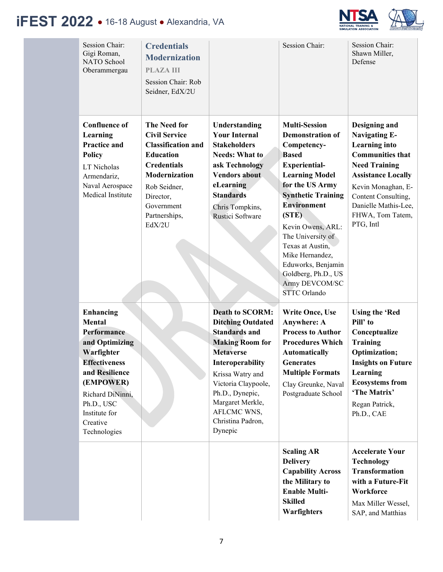

| <b>Session Chair:</b><br>Gigi Roman,<br>NATO School<br>Oberammergau                                                                                                                                                    | <b>Credentials</b><br><b>Modernization</b><br><b>PLAZA III</b><br>Session Chair: Rob<br>Seidner, EdX/2U                                                                                                          |                                                                                                                                                                                                                                                                               | <b>Session Chair:</b>                                                                                                                                                                                                                                                                                                                                                                 | <b>Session Chair:</b><br>Shawn Miller,<br>Defense                                                                                                                                                                                                   |
|------------------------------------------------------------------------------------------------------------------------------------------------------------------------------------------------------------------------|------------------------------------------------------------------------------------------------------------------------------------------------------------------------------------------------------------------|-------------------------------------------------------------------------------------------------------------------------------------------------------------------------------------------------------------------------------------------------------------------------------|---------------------------------------------------------------------------------------------------------------------------------------------------------------------------------------------------------------------------------------------------------------------------------------------------------------------------------------------------------------------------------------|-----------------------------------------------------------------------------------------------------------------------------------------------------------------------------------------------------------------------------------------------------|
| <b>Confluence of</b><br>Learning<br><b>Practice and</b><br><b>Policy</b><br>LT Nicholas<br>Armendariz,<br>Naval Aerospace<br>Medical Institute                                                                         | <b>The Need for</b><br><b>Civil Service</b><br><b>Classification and</b><br><b>Education</b><br><b>Credentials</b><br><b>Modernization</b><br>Rob Seidner,<br>Director,<br>Government<br>Partnerships,<br>EdX/2U | Understanding<br><b>Your Internal</b><br><b>Stakeholders</b><br><b>Needs: What to</b><br>ask Technology<br><b>Vendors about</b><br>eLearning<br><b>Standards</b><br>Chris Tompkins,<br>Rustici Software                                                                       | <b>Multi-Session</b><br><b>Demonstration of</b><br>Competency-<br><b>Based</b><br><b>Experiential-</b><br><b>Learning Model</b><br>for the US Army<br><b>Synthetic Training</b><br><b>Environment</b><br>(STE)<br>Kevin Owens, ARL:<br>The University of<br>Texas at Austin,<br>Mike Hernandez,<br>Eduworks, Benjamin<br>Goldberg, Ph.D., US<br>Army DEVCOM/SC<br><b>STTC</b> Orlando | Designing and<br><b>Navigating E-</b><br><b>Learning</b> into<br><b>Communities that</b><br><b>Need Training</b><br><b>Assistance Locally</b><br>Kevin Monaghan, E-<br>Content Consulting,<br>Danielle Mathis-Lee,<br>FHWA, Tom Tatem,<br>PTG, Intl |
| <b>Enhancing</b><br><b>Mental</b><br>Performance<br>and Optimizing<br>Warfighter<br><b>Effectiveness</b><br>and Resilience<br>(EMPOWER)<br>Richard DiNinni,<br>Ph.D., USC<br>Institute for<br>Creative<br>Technologies |                                                                                                                                                                                                                  | <b>Death to SCORM:</b><br><b>Ditching Outdated</b><br><b>Standards and</b><br><b>Making Room for</b><br><b>Metaverse</b><br>Interoperability<br>Krissa Watry and<br>Victoria Claypoole,<br>Ph.D., Dynepic,<br>Margaret Merkle,<br>AFLCMC WNS,<br>Christina Padron,<br>Dynepic | <b>Write Once, Use</b><br><b>Anywhere: A</b><br><b>Process to Author</b><br><b>Procedures Which</b><br><b>Automatically</b><br><b>Generates</b><br><b>Multiple Formats</b><br>Clay Greunke, Naval<br>Postgraduate School                                                                                                                                                              | <b>Using the 'Red</b><br>Pill' to<br>Conceptualize<br><b>Training</b><br>Optimization;<br><b>Insights on Future</b><br>Learning<br><b>Ecosystems from</b><br>'The Matrix'<br>Regan Patrick,<br>Ph.D., CAE                                           |
|                                                                                                                                                                                                                        |                                                                                                                                                                                                                  |                                                                                                                                                                                                                                                                               | <b>Scaling AR</b><br><b>Delivery</b><br><b>Capability Across</b><br>the Military to<br><b>Enable Multi-</b><br><b>Skilled</b><br>Warfighters                                                                                                                                                                                                                                          | <b>Accelerate Your</b><br><b>Technology</b><br><b>Transformation</b><br>with a Future-Fit<br>Workforce<br>Max Miller Wessel,<br>SAP, and Matthias                                                                                                   |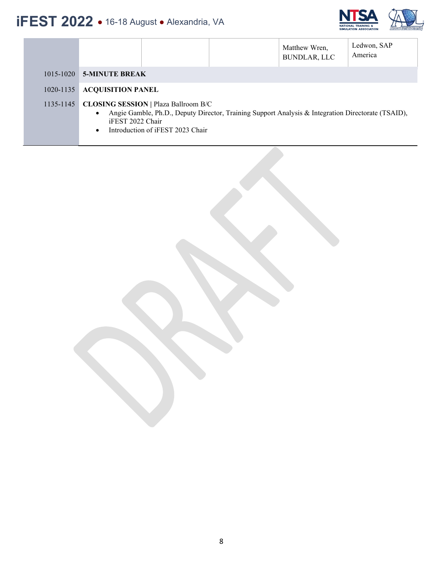

|           | Ledwon, SAP<br>Matthew Wren,<br>America<br><b>BUNDLAR, LLC</b>                                                                                                                                                                      |
|-----------|-------------------------------------------------------------------------------------------------------------------------------------------------------------------------------------------------------------------------------------|
|           | 1015-1020 5-MINUTE BREAK                                                                                                                                                                                                            |
| 1020-1135 | <b>ACQUISITION PANEL</b>                                                                                                                                                                                                            |
| 1135-1145 | <b>CLOSING SESSION   Plaza Ballroom B/C</b><br>Angie Gamble, Ph.D., Deputy Director, Training Support Analysis & Integration Directorate (TSAID),<br>$\bullet$<br>iFEST 2022 Chair<br>Introduction of iFEST 2023 Chair<br>$\bullet$ |